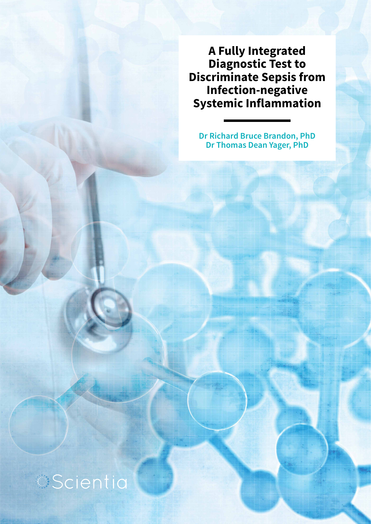**A Fully Integrated Diagnostic Test to Discriminate Sepsis from Infection-negative Systemic Inflammation**

**Dr Richard Bruce Brandon, PhD Dr Thomas Dean Yager, PhD**

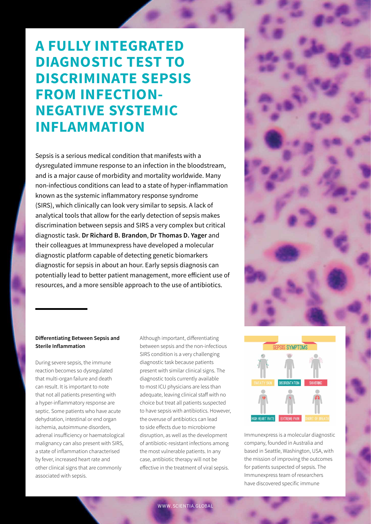## **A FULLY INTEGRATED DIAGNOSTIC TEST TO DISCRIMINATE SEPSIS FROM INFECTION-NEGATIVE SYSTEMIC INFLAMMATION**

Sepsis is a serious medical condition that manifests with a dysregulated immune response to an infection in the bloodstream, and is a major cause of morbidity and mortality worldwide. Many non-infectious conditions can lead to a state of hyper-inflammation known as the systemic inflammatory response syndrome (SIRS), which clinically can look very similar to sepsis. A lack of analytical tools that allow for the early detection of sepsis makes discrimination between sepsis and SIRS a very complex but critical diagnostic task. **Dr Richard B. Brandon**, **Dr Thomas D. Yager** and their colleagues at Immunexpress have developed a molecular diagnostic platform capable of detecting genetic biomarkers diagnostic for sepsis in about an hour. Early sepsis diagnosis can potentially lead to better patient management, more efficient use of resources, and a more sensible approach to the use of antibiotics.



### **Differentiating Between Sepsis and Sterile Inflammation**

During severe sepsis, the immune reaction becomes so dysregulated that multi-organ failure and death can result. It is important to note that not all patients presenting with a hyper-inflammatory response are septic. Some patients who have acute dehydration, intestinal or end organ ischemia, autoimmune disorders, adrenal insufficiency or haematological malignancy can also present with SIRS, a state of inflammation characterised by fever, increased heart rate and other clinical signs that are commonly associated with sepsis.

Although important, differentiating between sepsis and the non-infectious SIRS condition is a very challenging diagnostic task because patients present with similar clinical signs. The diagnostic tools currently available to most ICU physicians are less than adequate, leaving clinical staff with no choice but treat all patients suspected to have sepsis with antibiotics. However, the overuse of antibiotics can lead to side effects due to microbiome disruption, as well as the development of antibiotic-resistant infections among the most vulnerable patients. In any case, antibiotic therapy will not be effective in the treatment of viral sepsis.



Immunexpress is a molecular diagnostic company, founded in Australia and based in Seattle, Washington, USA, with the mission of improving the outcomes for patients suspected of sepsis. The Immunexpress team of researchers have discovered specific immune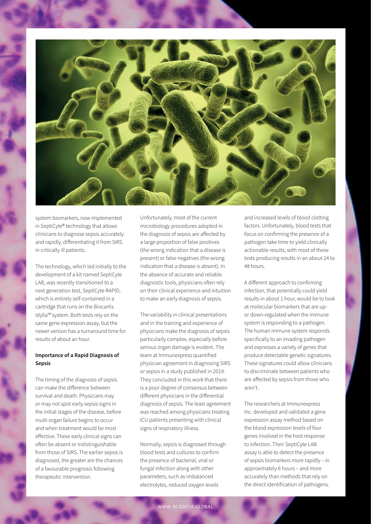

system biomarkers, now implemented in SeptiCyte® technology that allows clinicians to diagnose sepsis accurately and rapidly, differentiating it from SIRS in critically ill patients.

The technology, which led initially to the development of a kit named SeptiCyte LAB, was recently transitioned to a next generation test, SeptiCyte RAPID, which is entirely self-contained in a cartridge that runs on the Biocartis Idylla™ system. Both tests rely on the same gene expression assay, but the newer version has a turnaround time for results of about an hour.

### **Importance of a Rapid Diagnosis of Sepsis**

The timing of the diagnosis of sepsis can make the difference between survival and death. Physicians may or may not spot early sepsis signs in the initial stages of the disease, before multi-organ failure begins to occur and when treatment would be most effective. These early clinical signs can often be absent or indistinguishable from those of SIRS. The earlier sepsis is diagnosed, the greater are the chances of a favourable prognosis following therapeutic intervention.

Unfortunately, most of the current microbiology procedures adopted in the diagnosis of sepsis are affected by a large proportion of false positives (the wrong indication that a disease is present) or false negatives (the wrong indication that a disease is absent). In the absence of accurate and reliable diagnostic tools, physicians often rely on their clinical experience and intuition to make an early diagnosis of sepsis.

The variability in clinical presentations and in the training and experience of physicians make the diagnosis of sepsis particularly complex, especially before serious organ damage is evident. The team at Immunexpress quantified physician agreement in diagnosing SIRS or sepsis in a study published in 2019. They concluded in this work that there is a poor degree of consensus between different physicians in the differential diagnosis of sepsis. The least agreement was reached among physicians treating ICU patients presenting with clinical signs of respiratory illness.

Normally, sepsis is diagnosed through blood tests and cultures to confirm the presence of bacterial, viral or fungal infection along with other parameters, such as imbalanced electrolytes, reduced oxygen levels

and increased levels of blood clotting factors. Unfortunately, blood tests that focus on confirming the presence of a pathogen take time to yield clinically actionable results, with most of these tests producing results in an about 24 to 48 hours.

A different approach to confirming infection, that potentially could yield results in about 1 hour, would be to look at molecular biomarkers that are upor down-regulated when the immune system is responding to a pathogen. The human immune system responds specifically to an invading pathogen and expresses a variety of genes that produce detectable genetic signatures. These signatures could allow clinicians to discriminate between patients who are affected by sepsis from those who aren't.

The researchers at Immunexpress Inc. developed and validated a gene expression assay method based on the blood expression levels of four genes involved in the host response to infection. Their SeptiCyte LAB assay is able to detect the presence of sepsis biomarkers more rapidly – in approximately 6 hours – and more accurately than methods that rely on the direct identification of pathogens.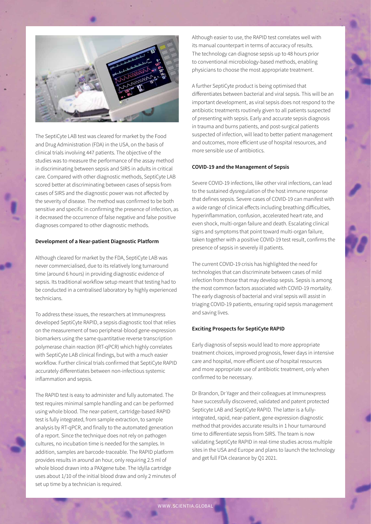

The SeptiCyte LAB test was cleared for market by the Food and Drug Administration (FDA) in the USA, on the basis of clinical trials involving 447 patients. The objective of the studies was to measure the performance of the assay method in discriminating between sepsis and SIRS in adults in critical care. Compared with other diagnostic methods, SeptiCyte LAB scored better at discriminating between cases of sepsis from cases of SIRS and the diagnostic power was not affected by the severity of disease. The method was confirmed to be both sensitive and specific in confirming the presence of infection, as it decreased the occurrence of false negative and false positive diagnoses compared to other diagnostic methods.

### **Development of a Near-patient Diagnostic Platform**

Although cleared for market by the FDA, SeptiCyte LAB was never commercialised, due to its relatively long turnaround time (around 6 hours) in providing diagnostic evidence of sepsis. Its traditional workflow setup meant that testing had to be conducted in a centralised laboratory by highly experienced technicians.

To address these issues, the researchers at Immunexpress developed SeptiCyte RAPID, a sepsis diagnostic tool that relies on the measurement of two peripheral-blood gene-expression biomarkers using the same quantitative reverse transcription polymerase chain reaction (RT-qPCR) which highly correlates with SeptiCyte LAB clinical findings, but with a much easier workflow. Further clinical trials confirmed that SeptiCyte RAPID accurately differentiates between non-infectious systemic inflammation and sepsis.

The RAPID test is easy to administer and fully automated. The test requires minimal sample handling and can be performed using whole blood. The near-patient, cartridge-based RAPID test is fully integrated, from sample extraction, to sample analysis by RT-qPCR, and finally to the automated generation of a report. Since the technique does not rely on pathogen cultures, no incubation time is needed for the samples. In addition, samples are barcode-traceable. The RAPID platform provides results in around an hour, only requiring 2.5 ml of whole blood drawn into a PAXgene tube. The Idylla cartridge uses about 1/10 of the initial blood draw and only 2 minutes of set up time by a technician is required.

Although easier to use, the RAPID test correlates well with its manual counterpart in terms of accuracy of results. The technology can diagnose sepsis up to 48 hours prior to conventional microbiology-based methods, enabling physicians to choose the most appropriate treatment.

A further SeptiCyte product is being optimised that differentiates between bacterial and viral sepsis. This will be an important development, as viral sepsis does not respond to the antibiotic treatments routinely given to all patients suspected of presenting with sepsis. Early and accurate sepsis diagnosis in trauma and burns patients, and post-surgical patients suspected of infection, will lead to better patient management and outcomes, more efficient use of hospital resources, and more sensible use of antibiotics.

### **COVID-19 and the Management of Sepsis**

Severe COVID-19 infections, like other viral infections, can lead to the sustained dysregulation of the host immune response that defines sepsis. Severe cases of COVID-19 can manifest with a wide range of clinical effects including breathing difficulties, hyperinflammation, confusion, accelerated heart rate, and even shock, multi-organ failure and death. Escalating clinical signs and symptoms that point toward multi-organ failure, taken together with a positive COVID-19 test result, confirms the presence of sepsis in severely ill patients.

The current COVID-19 crisis has highlighted the need for technologies that can discriminate between cases of mild infection from those that may develop sepsis. Sepsis is among the most common factors associated with COVID-19 mortality. The early diagnosis of bacterial and viral sepsis will assist in triaging COVID-19 patients, ensuring rapid sepsis management and saving lives.

#### **Exciting Prospects for SeptiCyte RAPID**

Early diagnosis of sepsis would lead to more appropriate treatment choices, improved prognosis, fewer days in intensive care and hospital, more efficient use of hospital resources and more appropriate use of antibiotic treatment, only when confirmed to be necessary.

Dr Brandon, Dr Yager and their colleagues at Immunexpress have successfully discovered, validated and patent protected Septicyte LAB and SeptiCyte RAPID. The latter is a fullyintegrated, rapid, near-patient, gene expression diagnostic method that provides accurate results in 1 hour turnaround time to differentiate sepsis from SIRS. The team is now validating SeptiCyte RAPID in real-time studies across multiple sites in the USA and Europe and plans to launch the technology and get full FDA clearance by Q1 2021.